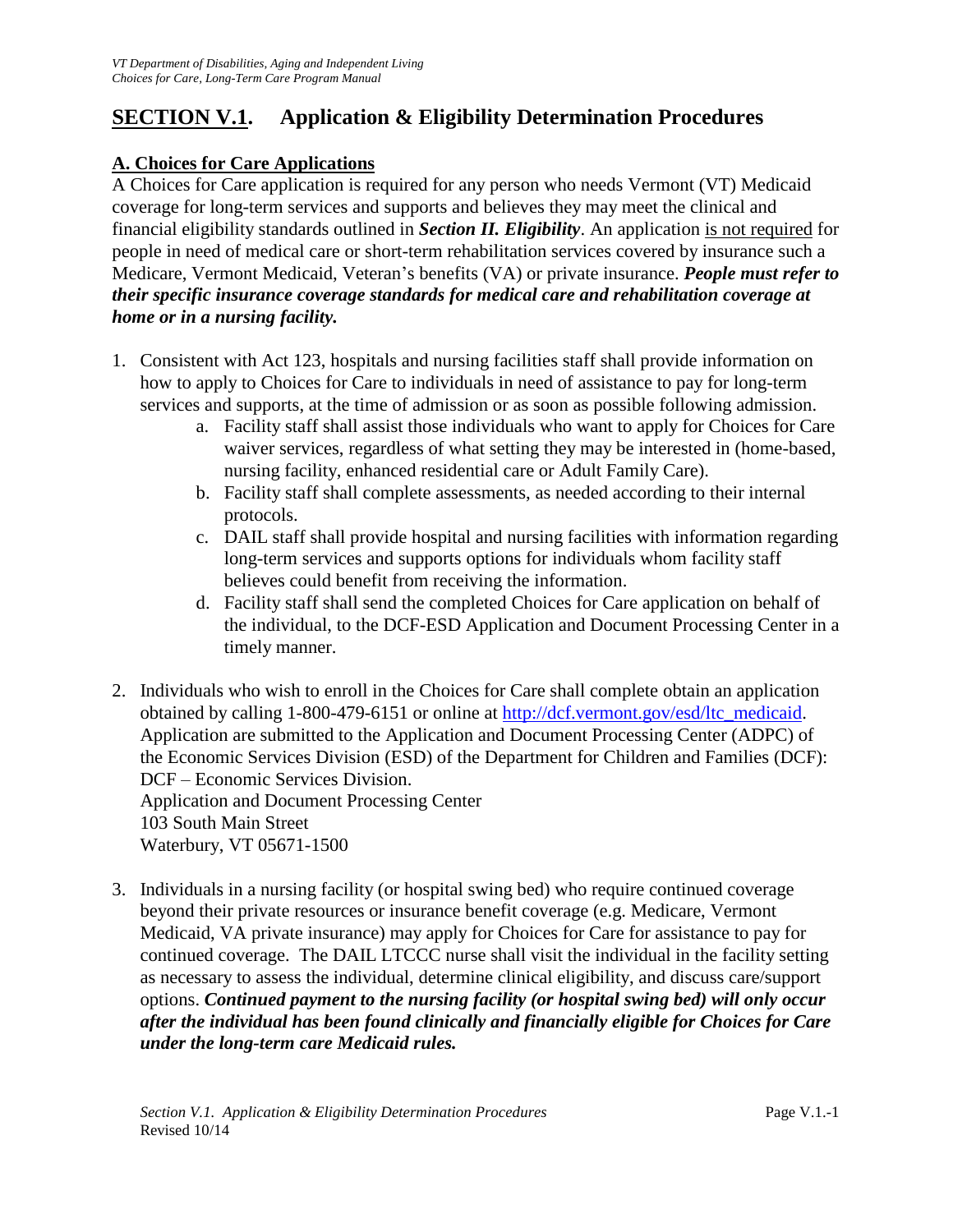# **SECTION V.1. Application & Eligibility Determination Procedures**

# **A. Choices for Care Applications**

A Choices for Care application is required for any person who needs Vermont (VT) Medicaid coverage for long-term services and supports and believes they may meet the clinical and financial eligibility standards outlined in *Section II. Eligibility*. An application is not required for people in need of medical care or short-term rehabilitation services covered by insurance such a Medicare, Vermont Medicaid, Veteran's benefits (VA) or private insurance. *People must refer to their specific insurance coverage standards for medical care and rehabilitation coverage at home or in a nursing facility.*

- 1. Consistent with Act 123, hospitals and nursing facilities staff shall provide information on how to apply to Choices for Care to individuals in need of assistance to pay for long-term services and supports, at the time of admission or as soon as possible following admission.
	- a. Facility staff shall assist those individuals who want to apply for Choices for Care waiver services, regardless of what setting they may be interested in (home-based, nursing facility, enhanced residential care or Adult Family Care).
	- b. Facility staff shall complete assessments, as needed according to their internal protocols.
	- c. DAIL staff shall provide hospital and nursing facilities with information regarding long-term services and supports options for individuals whom facility staff believes could benefit from receiving the information.
	- d. Facility staff shall send the completed Choices for Care application on behalf of the individual, to the DCF-ESD Application and Document Processing Center in a timely manner.
- 2. Individuals who wish to enroll in the Choices for Care shall complete obtain an application obtained by calling 1-800-479-6151 or online at [http://dcf.vermont.gov/esd/ltc\\_medicaid.](http://dcf.vermont.gov/esd/ltc_medicaid) Application are submitted to the Application and Document Processing Center (ADPC) of the Economic Services Division (ESD) of the Department for Children and Families (DCF): DCF – Economic Services Division. Application and Document Processing Center 103 South Main Street Waterbury, VT 05671-1500
- 3. Individuals in a nursing facility (or hospital swing bed) who require continued coverage beyond their private resources or insurance benefit coverage (e.g. Medicare, Vermont Medicaid, VA private insurance) may apply for Choices for Care for assistance to pay for continued coverage. The DAIL LTCCC nurse shall visit the individual in the facility setting as necessary to assess the individual, determine clinical eligibility, and discuss care/support options. *Continued payment to the nursing facility (or hospital swing bed) will only occur after the individual has been found clinically and financially eligible for Choices for Care under the long-term care Medicaid rules.*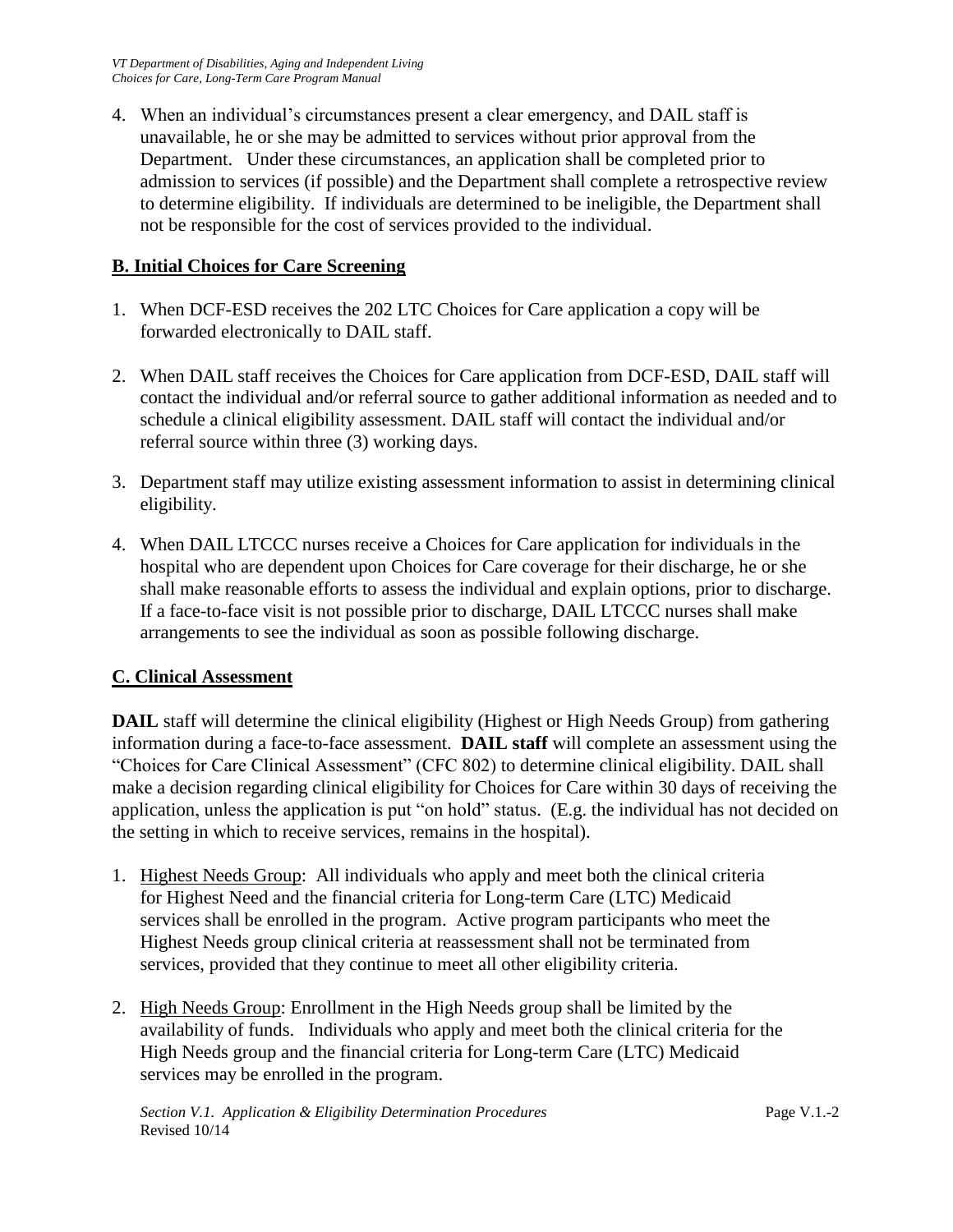4. When an individual's circumstances present a clear emergency, and DAIL staff is unavailable, he or she may be admitted to services without prior approval from the Department. Under these circumstances, an application shall be completed prior to admission to services (if possible) and the Department shall complete a retrospective review to determine eligibility. If individuals are determined to be ineligible, the Department shall not be responsible for the cost of services provided to the individual.

## **B. Initial Choices for Care Screening**

- 1. When DCF-ESD receives the 202 LTC Choices for Care application a copy will be forwarded electronically to DAIL staff.
- 2. When DAIL staff receives the Choices for Care application from DCF-ESD, DAIL staff will contact the individual and/or referral source to gather additional information as needed and to schedule a clinical eligibility assessment. DAIL staff will contact the individual and/or referral source within three (3) working days.
- 3. Department staff may utilize existing assessment information to assist in determining clinical eligibility.
- 4. When DAIL LTCCC nurses receive a Choices for Care application for individuals in the hospital who are dependent upon Choices for Care coverage for their discharge, he or she shall make reasonable efforts to assess the individual and explain options, prior to discharge. If a face-to-face visit is not possible prior to discharge, DAIL LTCCC nurses shall make arrangements to see the individual as soon as possible following discharge.

## **C. Clinical Assessment**

**DAIL** staff will determine the clinical eligibility (Highest or High Needs Group) from gathering information during a face-to-face assessment. **DAIL staff** will complete an assessment using the "Choices for Care Clinical Assessment" (CFC 802) to determine clinical eligibility. DAIL shall make a decision regarding clinical eligibility for Choices for Care within 30 days of receiving the application, unless the application is put "on hold" status. (E.g. the individual has not decided on the setting in which to receive services, remains in the hospital).

- 1. Highest Needs Group: All individuals who apply and meet both the clinical criteria for Highest Need and the financial criteria for Long-term Care (LTC) Medicaid services shall be enrolled in the program. Active program participants who meet the Highest Needs group clinical criteria at reassessment shall not be terminated from services, provided that they continue to meet all other eligibility criteria.
- 2. High Needs Group: Enrollment in the High Needs group shall be limited by the availability of funds. Individuals who apply and meet both the clinical criteria for the High Needs group and the financial criteria for Long-term Care (LTC) Medicaid services may be enrolled in the program.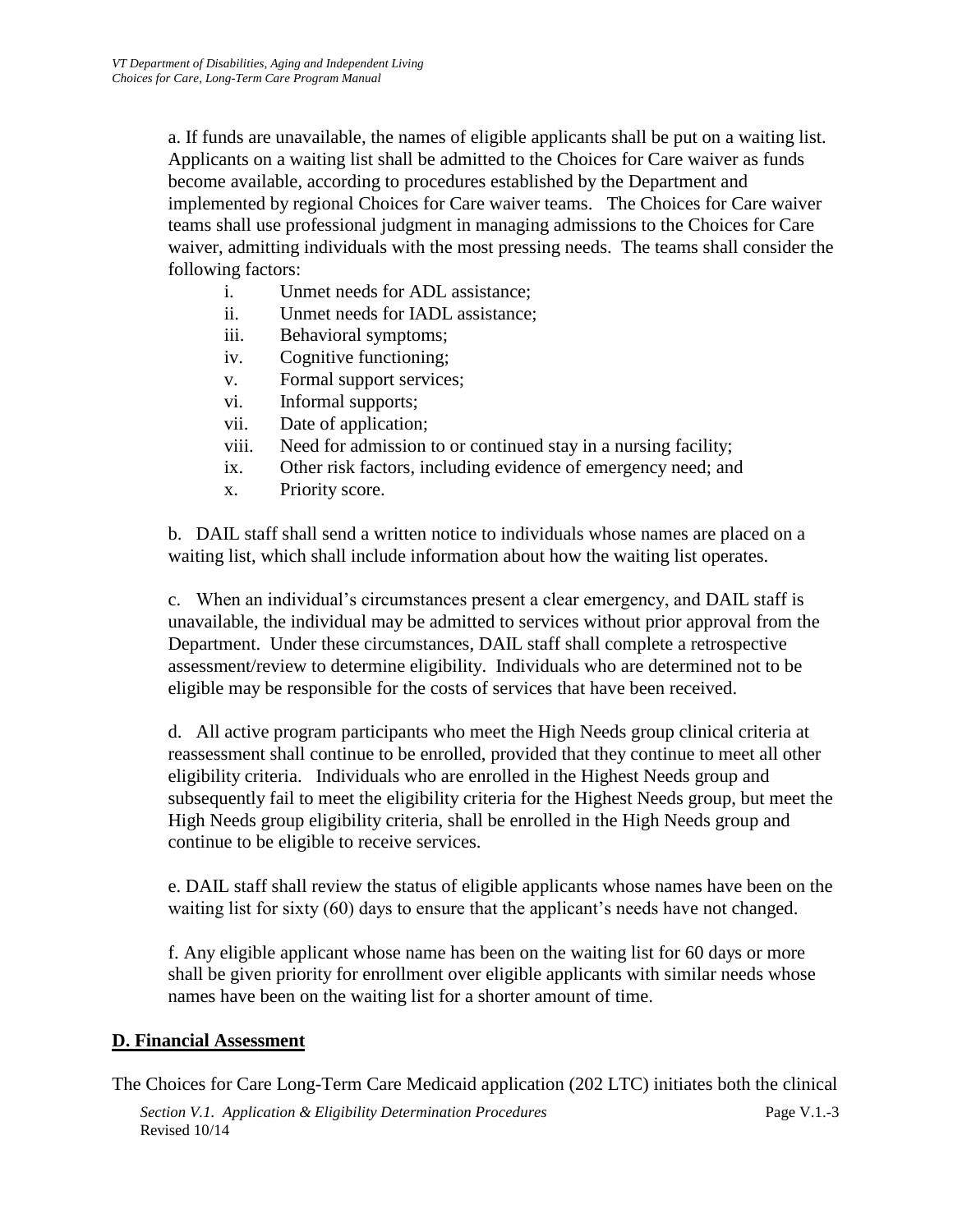a. If funds are unavailable, the names of eligible applicants shall be put on a waiting list. Applicants on a waiting list shall be admitted to the Choices for Care waiver as funds become available, according to procedures established by the Department and implemented by regional Choices for Care waiver teams. The Choices for Care waiver teams shall use professional judgment in managing admissions to the Choices for Care waiver, admitting individuals with the most pressing needs. The teams shall consider the following factors:

- i. Unmet needs for ADL assistance;
- ii. Unmet needs for IADL assistance;
- iii. Behavioral symptoms;
- iv. Cognitive functioning;
- v. Formal support services;
- vi. Informal supports;
- vii. Date of application;
- viii. Need for admission to or continued stay in a nursing facility;
- ix. Other risk factors, including evidence of emergency need; and
- x. Priority score.

b. DAIL staff shall send a written notice to individuals whose names are placed on a waiting list, which shall include information about how the waiting list operates.

c. When an individual's circumstances present a clear emergency, and DAIL staff is unavailable, the individual may be admitted to services without prior approval from the Department. Under these circumstances, DAIL staff shall complete a retrospective assessment/review to determine eligibility. Individuals who are determined not to be eligible may be responsible for the costs of services that have been received.

d. All active program participants who meet the High Needs group clinical criteria at reassessment shall continue to be enrolled, provided that they continue to meet all other eligibility criteria. Individuals who are enrolled in the Highest Needs group and subsequently fail to meet the eligibility criteria for the Highest Needs group, but meet the High Needs group eligibility criteria, shall be enrolled in the High Needs group and continue to be eligible to receive services.

e. DAIL staff shall review the status of eligible applicants whose names have been on the waiting list for sixty (60) days to ensure that the applicant's needs have not changed.

f. Any eligible applicant whose name has been on the waiting list for 60 days or more shall be given priority for enrollment over eligible applicants with similar needs whose names have been on the waiting list for a shorter amount of time.

#### **D. Financial Assessment**

The Choices for Care Long-Term Care Medicaid application (202 LTC) initiates both the clinical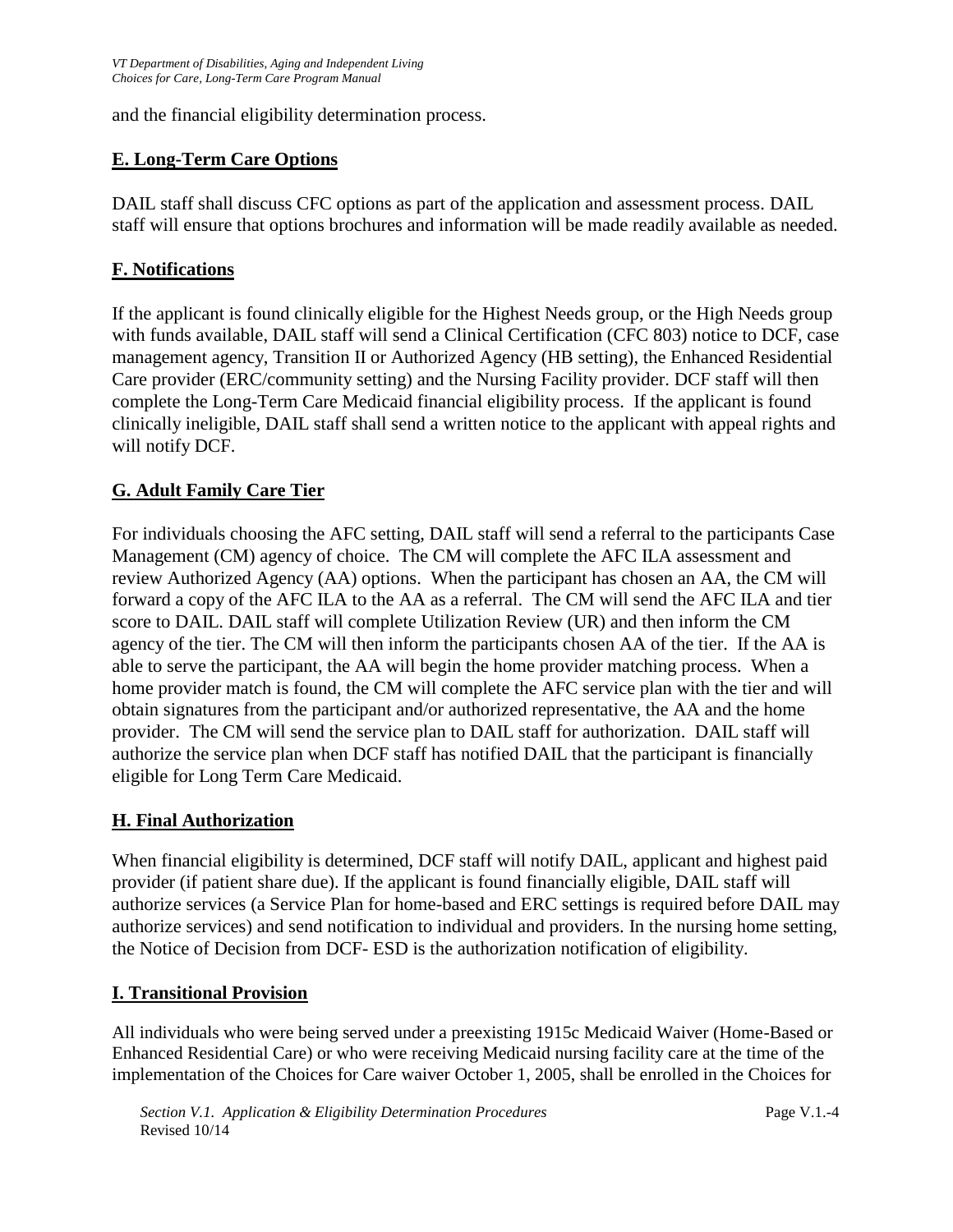and the financial eligibility determination process.

# **E. Long-Term Care Options**

DAIL staff shall discuss CFC options as part of the application and assessment process. DAIL staff will ensure that options brochures and information will be made readily available as needed.

## **F. Notifications**

If the applicant is found clinically eligible for the Highest Needs group, or the High Needs group with funds available, DAIL staff will send a Clinical Certification (CFC 803) notice to DCF, case management agency, Transition II or Authorized Agency (HB setting), the Enhanced Residential Care provider (ERC/community setting) and the Nursing Facility provider. DCF staff will then complete the Long-Term Care Medicaid financial eligibility process. If the applicant is found clinically ineligible, DAIL staff shall send a written notice to the applicant with appeal rights and will notify DCF.

## **G. Adult Family Care Tier**

For individuals choosing the AFC setting, DAIL staff will send a referral to the participants Case Management (CM) agency of choice. The CM will complete the AFC ILA assessment and review Authorized Agency (AA) options. When the participant has chosen an AA, the CM will forward a copy of the AFC ILA to the AA as a referral. The CM will send the AFC ILA and tier score to DAIL. DAIL staff will complete Utilization Review (UR) and then inform the CM agency of the tier. The CM will then inform the participants chosen AA of the tier. If the AA is able to serve the participant, the AA will begin the home provider matching process. When a home provider match is found, the CM will complete the AFC service plan with the tier and will obtain signatures from the participant and/or authorized representative, the AA and the home provider. The CM will send the service plan to DAIL staff for authorization. DAIL staff will authorize the service plan when DCF staff has notified DAIL that the participant is financially eligible for Long Term Care Medicaid.

#### **H. Final Authorization**

When financial eligibility is determined, DCF staff will notify DAIL, applicant and highest paid provider (if patient share due). If the applicant is found financially eligible, DAIL staff will authorize services (a Service Plan for home-based and ERC settings is required before DAIL may authorize services) and send notification to individual and providers. In the nursing home setting, the Notice of Decision from DCF- ESD is the authorization notification of eligibility.

#### **I. Transitional Provision**

All individuals who were being served under a preexisting 1915c Medicaid Waiver (Home-Based or Enhanced Residential Care) or who were receiving Medicaid nursing facility care at the time of the implementation of the Choices for Care waiver October 1, 2005, shall be enrolled in the Choices for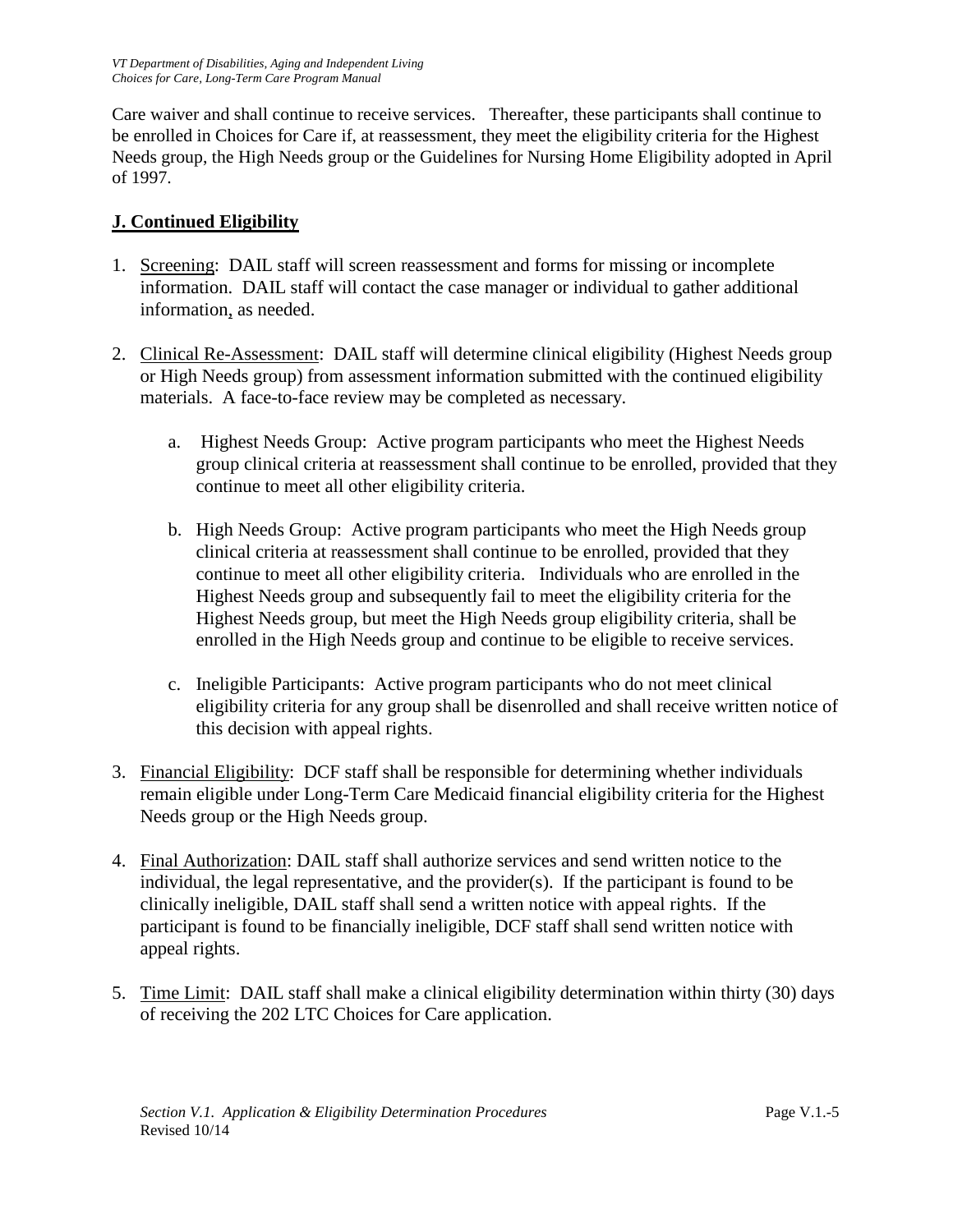Care waiver and shall continue to receive services. Thereafter, these participants shall continue to be enrolled in Choices for Care if, at reassessment, they meet the eligibility criteria for the Highest Needs group, the High Needs group or the Guidelines for Nursing Home Eligibility adopted in April of 1997.

# **J. Continued Eligibility**

- 1. Screening: DAIL staff will screen reassessment and forms for missing or incomplete information. DAIL staff will contact the case manager or individual to gather additional information, as needed.
- 2. Clinical Re-Assessment: DAIL staff will determine clinical eligibility (Highest Needs group or High Needs group) from assessment information submitted with the continued eligibility materials. A face-to-face review may be completed as necessary.
	- a. Highest Needs Group: Active program participants who meet the Highest Needs group clinical criteria at reassessment shall continue to be enrolled, provided that they continue to meet all other eligibility criteria.
	- b. High Needs Group: Active program participants who meet the High Needs group clinical criteria at reassessment shall continue to be enrolled, provided that they continue to meet all other eligibility criteria. Individuals who are enrolled in the Highest Needs group and subsequently fail to meet the eligibility criteria for the Highest Needs group, but meet the High Needs group eligibility criteria, shall be enrolled in the High Needs group and continue to be eligible to receive services.
	- c. Ineligible Participants: Active program participants who do not meet clinical eligibility criteria for any group shall be disenrolled and shall receive written notice of this decision with appeal rights.
- 3. Financial Eligibility: DCF staff shall be responsible for determining whether individuals remain eligible under Long-Term Care Medicaid financial eligibility criteria for the Highest Needs group or the High Needs group.
- 4. Final Authorization: DAIL staff shall authorize services and send written notice to the individual, the legal representative, and the provider(s). If the participant is found to be clinically ineligible, DAIL staff shall send a written notice with appeal rights. If the participant is found to be financially ineligible, DCF staff shall send written notice with appeal rights.
- 5. Time Limit: DAIL staff shall make a clinical eligibility determination within thirty (30) days of receiving the 202 LTC Choices for Care application.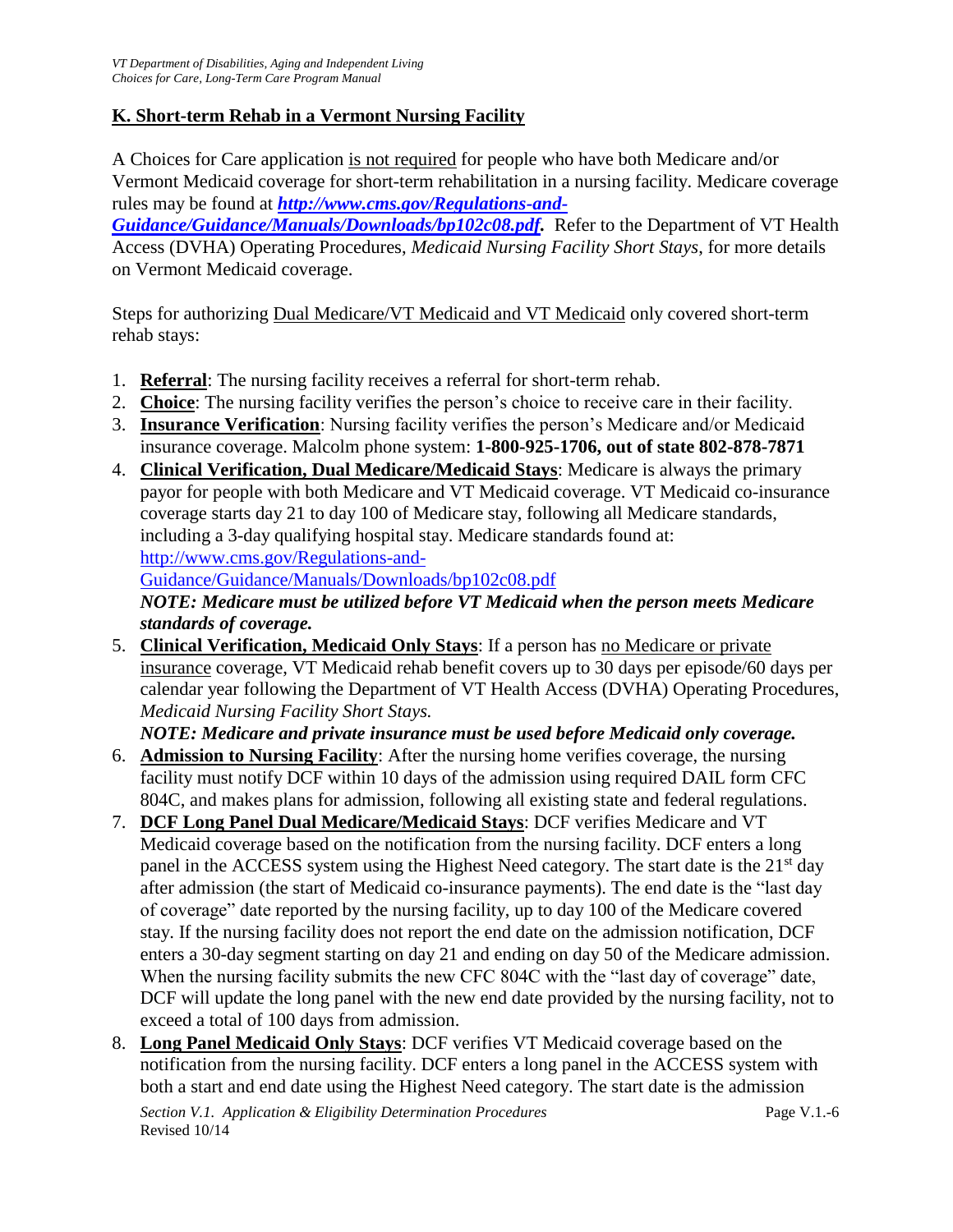# **K. Short-term Rehab in a Vermont Nursing Facility**

A Choices for Care application is not required for people who have both Medicare and/or Vermont Medicaid coverage for short-term rehabilitation in a nursing facility. Medicare coverage rules may be found at *[http://www.cms.gov/Regulations-and-](http://www.cms.gov/Regulations-and-Guidance/Guidance/Manuals/Downloads/bp102c08.pdf)*

*[Guidance/Guidance/Manuals/Downloads/bp102c08.pdf.](http://www.cms.gov/Regulations-and-Guidance/Guidance/Manuals/Downloads/bp102c08.pdf)* Refer to the Department of VT Health Access (DVHA) Operating Procedures, *Medicaid Nursing Facility Short Stays*, for more details on Vermont Medicaid coverage.

Steps for authorizing Dual Medicare/VT Medicaid and VT Medicaid only covered short-term rehab stays:

- 1. **Referral**: The nursing facility receives a referral for short-term rehab.
- 2. **Choice**: The nursing facility verifies the person's choice to receive care in their facility.
- 3. **Insurance Verification**: Nursing facility verifies the person's Medicare and/or Medicaid insurance coverage. Malcolm phone system: **1-800-925-1706, out of state 802-878-7871**
- 4. **Clinical Verification, Dual Medicare/Medicaid Stays**: Medicare is always the primary payor for people with both Medicare and VT Medicaid coverage. VT Medicaid co-insurance coverage starts day 21 to day 100 of Medicare stay, following all Medicare standards, including a 3-day qualifying hospital stay. Medicare standards found at: [http://www.cms.gov/Regulations-and-](http://www.cms.gov/Regulations-and-Guidance/Guidance/Manuals/Downloads/bp102c08.pdf)

[Guidance/Guidance/Manuals/Downloads/bp102c08.pdf](http://www.cms.gov/Regulations-and-Guidance/Guidance/Manuals/Downloads/bp102c08.pdf)

*NOTE: Medicare must be utilized before VT Medicaid when the person meets Medicare standards of coverage.*

5. **Clinical Verification, Medicaid Only Stays**: If a person has no Medicare or private insurance coverage, VT Medicaid rehab benefit covers up to 30 days per episode/60 days per calendar year following the Department of VT Health Access (DVHA) Operating Procedures, *Medicaid Nursing Facility Short Stays.* 

*NOTE: Medicare and private insurance must be used before Medicaid only coverage.*

- 6. **Admission to Nursing Facility**: After the nursing home verifies coverage, the nursing facility must notify DCF within 10 days of the admission using required DAIL form CFC 804C, and makes plans for admission, following all existing state and federal regulations.
- 7. **DCF Long Panel Dual Medicare/Medicaid Stays**: DCF verifies Medicare and VT Medicaid coverage based on the notification from the nursing facility. DCF enters a long panel in the ACCESS system using the Highest Need category. The start date is the 21<sup>st</sup> day after admission (the start of Medicaid co-insurance payments). The end date is the "last day of coverage" date reported by the nursing facility, up to day 100 of the Medicare covered stay. If the nursing facility does not report the end date on the admission notification, DCF enters a 30-day segment starting on day 21 and ending on day 50 of the Medicare admission. When the nursing facility submits the new CFC 804C with the "last day of coverage" date, DCF will update the long panel with the new end date provided by the nursing facility, not to exceed a total of 100 days from admission.
- 8. **Long Panel Medicaid Only Stays**: DCF verifies VT Medicaid coverage based on the notification from the nursing facility. DCF enters a long panel in the ACCESS system with both a start and end date using the Highest Need category. The start date is the admission